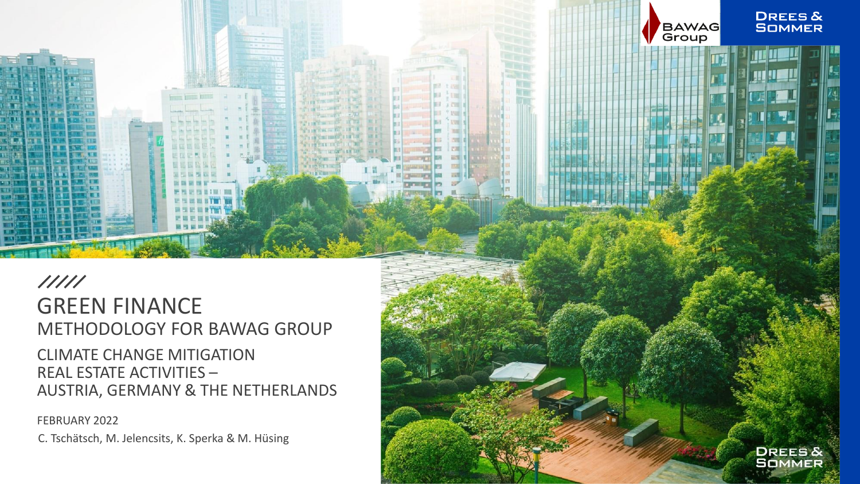

## $11111$ GREEN FINANCE METHODOLOGY FOR BAWAG GROUP

CLIMATE CHANGE MITIGATION REAL ESTATE ACTIVITIES – AUSTRIA, GERMANY & THE NETHERLANDS

FEBRUARY 2022

C. Tschätsch, M. Jelencsits, K. Sperka & M. Hüsing

**DREES&**<br>SOMMER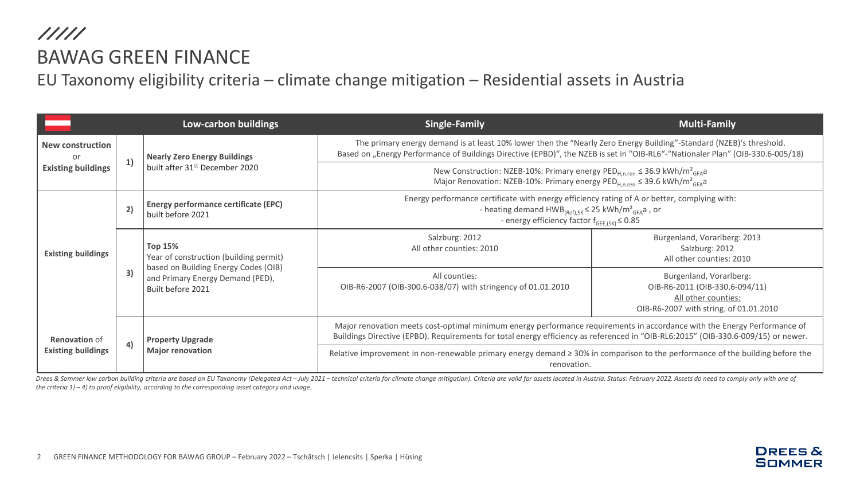///// BAWAG GREEN FINANCE

EU Taxonomy eligibility criteria – climate change mitigation – Residential assets in Austria

|                                                            |    | Low-carbon buildings                                                                                                                                      | <b>Single-Family</b>                                                                                                                                                                                                                                          | <b>Multi-Family</b>                                                                                                        |  |
|------------------------------------------------------------|----|-----------------------------------------------------------------------------------------------------------------------------------------------------------|---------------------------------------------------------------------------------------------------------------------------------------------------------------------------------------------------------------------------------------------------------------|----------------------------------------------------------------------------------------------------------------------------|--|
| <b>New construction</b><br>or<br><b>Existing buildings</b> | 1) | <b>Nearly Zero Energy Buildings</b><br>built after 31 <sup>st</sup> December 2020                                                                         | The primary energy demand is at least 10% lower then the "Nearly Zero Energy Building"-Standard (NZEB)'s threshold.<br>Based on "Energy Performance of Buildings Directive (EPBD)", the NZEB is set in "OIB-RL6"-"Nationaler Plan" (OIB-330.6-005/18)         |                                                                                                                            |  |
|                                                            |    |                                                                                                                                                           | New Construction: NZEB-10%: Primary energy PED <sub>H.n.ren</sub> $\leq$ 36.9 kWh/m <sup>2</sup> <sub>GFA</sub> a<br>Major Renovation: NZEB-10%: Primary energy PED $_{H,n,ren}$ $\leq$ 39.6 kWh/m <sup>2</sup> <sub>GFA</sub> a                              |                                                                                                                            |  |
| <b>Existing buildings</b>                                  | 2) | Energy performance certificate (EPC)<br>built before 2021                                                                                                 | Energy performance certificate with energy efficiency rating of A or better, complying with:<br>- heating demand $HWB_{(Ref),SK} \leq 25$ kWh/m <sup>2</sup> <sub>GFA</sub> a, or<br>- energy efficiency factor $f_{GE,(SK)} \leq 0.85$                       |                                                                                                                            |  |
|                                                            | 3) | <b>Top 15%</b><br>Year of construction (building permit)<br>based on Building Energy Codes (OIB)<br>and Primary Energy Demand (PED),<br>Built before 2021 | Salzburg: 2012<br>All other counties: 2010                                                                                                                                                                                                                    | Burgenland, Vorarlberg: 2013<br>Salzburg: 2012<br>All other counties: 2010                                                 |  |
|                                                            |    |                                                                                                                                                           | All counties:<br>OIB-R6-2007 (OIB-300.6-038/07) with stringency of 01.01.2010                                                                                                                                                                                 | Burgenland, Vorarlberg:<br>OIB-R6-2011 (OIB-330.6-094/11)<br>All other counties:<br>OIB-R6-2007 with string. of 01.01.2010 |  |
| <b>Renovation of</b><br><b>Existing buildings</b>          | 4) | <b>Property Upgrade</b><br><b>Major renovation</b>                                                                                                        | Major renovation meets cost-optimal minimum energy performance requirements in accordance with the Energy Performance of<br>Buildings Directive (EPBD). Requirements for total energy efficiency as referenced in "OIB-RL6:2015" (OIB-330.6-009/15) or newer. |                                                                                                                            |  |
|                                                            |    |                                                                                                                                                           | Relative improvement in non-renewable primary energy demand $\geq$ 30% in comparison to the performance of the building before the<br>renovation.                                                                                                             |                                                                                                                            |  |

Drees & Sommer low carbon building criteria are based on EU Taxonomy (Delegated Act - July 2021 - technical criteria for climate change mitigation). Criteria are valid for assets located in Austria. Status: February 2022. *the criteria 1) – 4) to proof eligibility, according to the corresponding asset category and usage.*

> **DREES & SOMMER**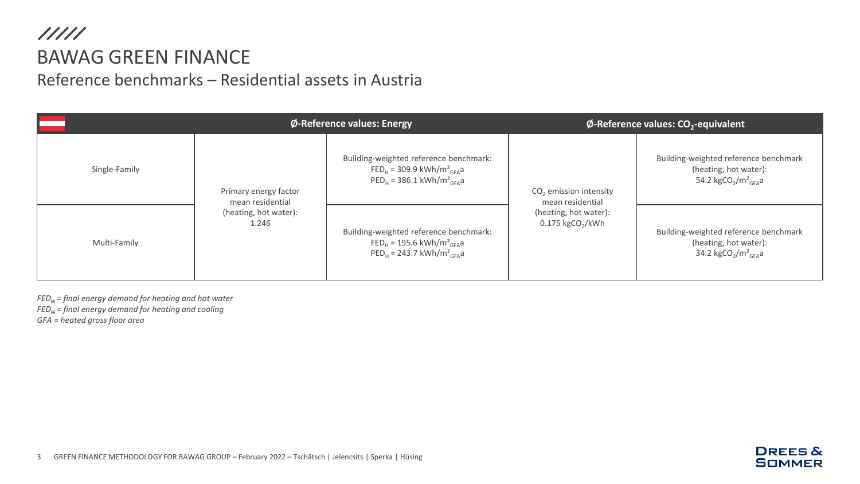### $11111$ BAWAG GREEN FINANCE Reference benchmarks – Residential assets in Austria

|               |                                                                             | Ø-Reference values: Energy                                                                                                                |                                                                                                         | $\phi$ -Reference values: CO <sub>2</sub> -equivalent                                                                     |  |  |
|---------------|-----------------------------------------------------------------------------|-------------------------------------------------------------------------------------------------------------------------------------------|---------------------------------------------------------------------------------------------------------|---------------------------------------------------------------------------------------------------------------------------|--|--|
| Single-Family | Primary energy factor<br>mean residential<br>(heating, hot water):<br>1.246 | Building-weighted reference benchmark:<br>$FED_{H} = 309.9 \text{ kWh/m}^2_{GFA}$ a<br>$PEDH$ = 386.1 kWh/m <sup>2</sup> <sub>GFA</sub> a | $CO2$ emission intensity<br>mean residential<br>(heating, hot water):<br>$0.175$ kgCO <sub>2</sub> /kWh | Building-weighted reference benchmark<br>(heating, hot water):<br>54.2 kgCO <sub>2</sub> /m <sup>2</sup> <sub>GFA</sub> a |  |  |
| Multi-Family  |                                                                             | Building-weighted reference benchmark:<br>$FED_{H} = 195.6 \text{ kWh/m}^2_{GEA}$ a<br>$PED_{H} = 243.7 \text{ kWh/m}^2_{GFA}$ a          |                                                                                                         | Building-weighted reference benchmark<br>(heating, hot water):<br>34.2 kgCO <sub>2</sub> /m <sup>2</sup> <sub>GFA</sub> a |  |  |

*FED***<sup>H</sup>** *= final energy demand for heating and hot water*

*FED***<sup>H</sup>** *= final energy demand for heating and cooling*

*GFA = heated gross floor area*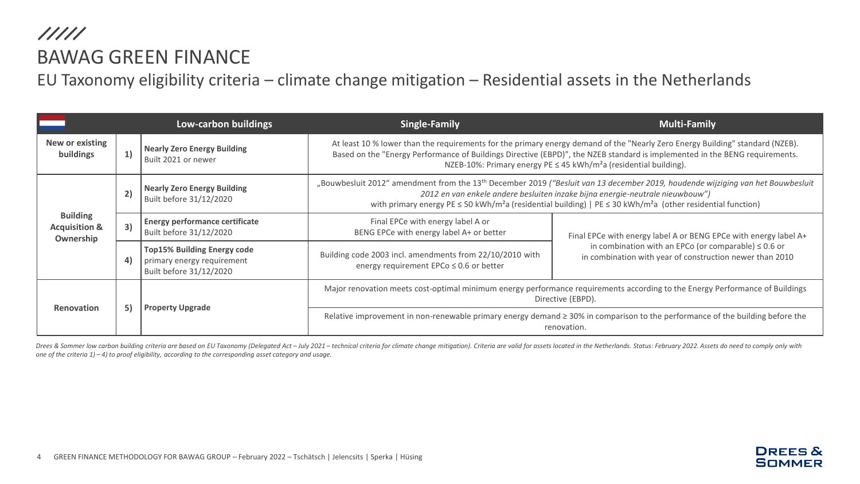///// BAWAG GREEN FINANCE

EU Taxonomy eligibility criteria – climate change mitigation – Residential assets in the Netherlands

|                                                          |    | Low-carbon buildings                                                                                                                                                                                                                                                                                                                                                                                                                           | <b>Single-Family</b>                                                                                                                                                                                                                                                                                                                          | <b>Multi-Family</b>                                                                                                   |  |  |  |
|----------------------------------------------------------|----|------------------------------------------------------------------------------------------------------------------------------------------------------------------------------------------------------------------------------------------------------------------------------------------------------------------------------------------------------------------------------------------------------------------------------------------------|-----------------------------------------------------------------------------------------------------------------------------------------------------------------------------------------------------------------------------------------------------------------------------------------------------------------------------------------------|-----------------------------------------------------------------------------------------------------------------------|--|--|--|
| New or existing<br>buildings                             | 1) | <b>Nearly Zero Energy Building</b><br>Built 2021 or newer                                                                                                                                                                                                                                                                                                                                                                                      | At least 10 % lower than the requirements for the primary energy demand of the "Nearly Zero Energy Building" standard (NZEB).<br>Based on the "Energy Performance of Buildings Directive (EBPD)", the NZEB standard is implemented in the BENG requirements.<br>NZEB-10%: Primary energy PE ≤ 45 kWh/m <sup>2</sup> a (residential building). |                                                                                                                       |  |  |  |
| <b>Building</b><br><b>Acquisition &amp;</b><br>Ownership | 2) | "Bouwbesluit 2012" amendment from the 13 <sup>th</sup> December 2019 ("Besluit van 13 december 2019, houdende wijziging van het Bouwbesluit<br><b>Nearly Zero Energy Building</b><br>2012 en van enkele andere besluiten inzake bijna energie-neutrale nieuwbouw")<br>Built before 31/12/2020<br>with primary energy PE $\leq$ 50 kWh/m <sup>2</sup> a (residential building)   PE $\leq$ 30 kWh/m <sup>2</sup> a (other residential function) |                                                                                                                                                                                                                                                                                                                                               |                                                                                                                       |  |  |  |
|                                                          | 3) | <b>Energy performance certificate</b><br>Built before 31/12/2020                                                                                                                                                                                                                                                                                                                                                                               | Final EPCe with energy label A or<br>BENG EPCe with energy label A+ or better                                                                                                                                                                                                                                                                 | Final EPCe with energy label A or BENG EPCe with energy label A+                                                      |  |  |  |
|                                                          | 4) | <b>Top15% Building Energy code</b><br>primary energy requirement<br>Built before 31/12/2020                                                                                                                                                                                                                                                                                                                                                    | Building code 2003 incl. amendments from 22/10/2010 with<br>energy requirement EPCo ≤ 0.6 or better                                                                                                                                                                                                                                           | in combination with an EPCo (or comparable) $\leq 0.6$ or<br>in combination with year of construction newer than 2010 |  |  |  |
| <b>Renovation</b>                                        | 5) | <b>Property Upgrade</b>                                                                                                                                                                                                                                                                                                                                                                                                                        | Major renovation meets cost-optimal minimum energy performance requirements according to the Energy Performance of Buildings<br>Directive (EBPD).                                                                                                                                                                                             |                                                                                                                       |  |  |  |
|                                                          |    |                                                                                                                                                                                                                                                                                                                                                                                                                                                | Relative improvement in non-renewable primary energy demand ≥ 30% in comparison to the performance of the building before the<br>renovation.                                                                                                                                                                                                  |                                                                                                                       |  |  |  |

Drees & Sommer low carbon building criteria are based on EU Taxonomy (Delegated Act - July 2021 - technical criteria for climate change mitigation). Criteria are valid for assets located in the Netherlands. Status: Februar *one of the criteria 1) – 4) to proof eligibility, according to the corresponding asset category and usage.*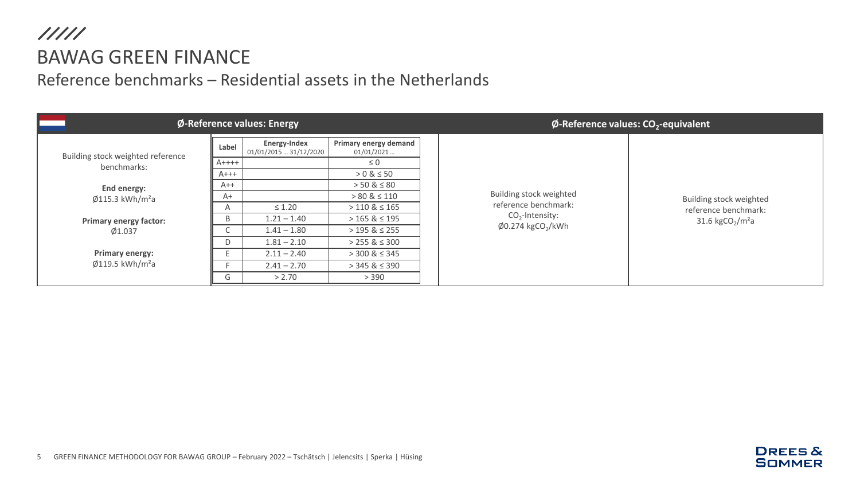# $11111$ BAWAG GREEN FINANCE

#### Reference benchmarks – Residential assets in the Netherlands

| Ø-Reference values: Energy             |          |                                        |                                     |  | $\phi$ -Reference values: CO <sub>2</sub> -equivalent                            |                                                                                             |  |
|----------------------------------------|----------|----------------------------------------|-------------------------------------|--|----------------------------------------------------------------------------------|---------------------------------------------------------------------------------------------|--|
| Building stock weighted reference      | Label    | Energy-Index<br>01/01/2015  31/12/2020 | Primary energy demand<br>01/01/2021 |  |                                                                                  |                                                                                             |  |
| benchmarks:                            | $A$ ++++ |                                        | $\leq 0$                            |  |                                                                                  |                                                                                             |  |
|                                        | $A+++$   |                                        | $> 0 & 8 \le 50$                    |  |                                                                                  | Building stock weighted<br>reference benchmark:<br>31.6 kgCO <sub>2</sub> /m <sup>2</sup> a |  |
| End energy:                            | $A++$    |                                        | $> 50 \& 50$                        |  |                                                                                  |                                                                                             |  |
| $\emptyset$ 115.3 kWh/m <sup>2</sup> a | $A+$     |                                        | $> 80 \& 110$                       |  | Building stock weighted                                                          |                                                                                             |  |
|                                        | A        | $\leq 1.20$                            | $>110 \& 165$                       |  | reference benchmark:<br>$CO2$ -Intensity:<br>$\phi$ 0.274 kgCO <sub>2</sub> /kWh |                                                                                             |  |
| <b>Primary energy factor:</b>          | B        | $1.21 - 1.40$                          | $>$ 165 & $\leq$ 195                |  |                                                                                  |                                                                                             |  |
| Ø1.037                                 |          | $1.41 - 1.80$                          | $>$ 195 & $\leq$ 255                |  |                                                                                  |                                                                                             |  |
|                                        | D        | $1.81 - 2.10$                          | $>$ 255 & $\leq$ 300                |  |                                                                                  |                                                                                             |  |
| <b>Primary energy:</b>                 |          | $2.11 - 2.40$                          | $>$ 300 & $\leq$ 345                |  |                                                                                  |                                                                                             |  |
| $\emptyset$ 119.5 kWh/m <sup>2</sup> a |          | $2.41 - 2.70$                          | $>$ 345 & $\leq$ 390                |  |                                                                                  |                                                                                             |  |
|                                        | G        | > 2.70                                 | > 390                               |  |                                                                                  |                                                                                             |  |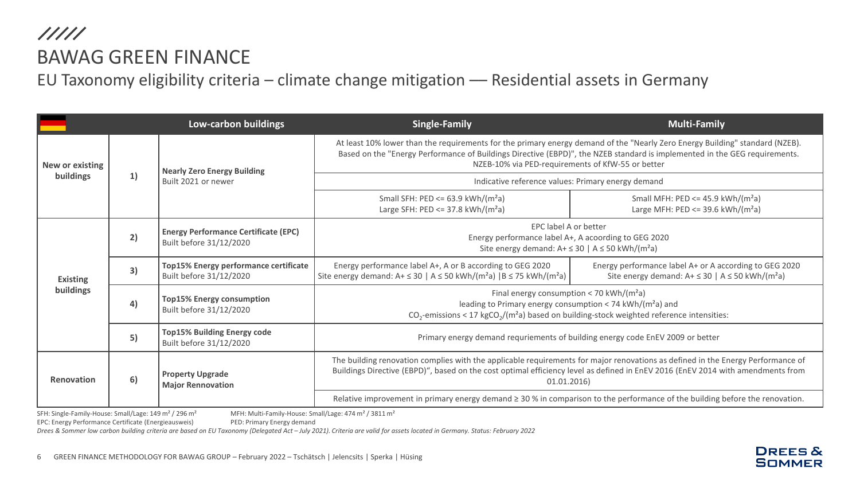EU Taxonomy eligibility criteria - climate change mitigation - Residential assets in Germany

|                              |    | Low-carbon buildings                                                   | <b>Single-Family</b>                                                                                                                                                                                                                                                                                            | <b>Multi-Family</b>                                                                                                            |  |  |  |
|------------------------------|----|------------------------------------------------------------------------|-----------------------------------------------------------------------------------------------------------------------------------------------------------------------------------------------------------------------------------------------------------------------------------------------------------------|--------------------------------------------------------------------------------------------------------------------------------|--|--|--|
| New or existing<br>buildings |    | <b>Nearly Zero Energy Building</b><br>Built 2021 or newer              | At least 10% lower than the requirements for the primary energy demand of the "Nearly Zero Energy Building" standard (NZEB).<br>Based on the "Energy Performance of Buildings Directive (EBPD)", the NZEB standard is implemented in the GEG requirements.<br>NZEB-10% via PED-requirements of KfW-55 or better |                                                                                                                                |  |  |  |
|                              | 1) |                                                                        | Indicative reference values: Primary energy demand                                                                                                                                                                                                                                                              |                                                                                                                                |  |  |  |
|                              |    |                                                                        | Small SFH: PED <= $63.9$ kWh/( $m2a$ )<br>Large SFH: $PED \le 37.8$ kWh/(m <sup>2</sup> a)                                                                                                                                                                                                                      | Small MFH: PED <= $45.9$ kWh/(m <sup>2</sup> a)<br>Large MFH: $PED \le 39.6 \text{ kWh/(m}^2a)$                                |  |  |  |
| <b>Existing</b><br>buildings | 2) | <b>Energy Performance Certificate (EPC)</b><br>Built before 31/12/2020 | EPC label A or better<br>Energy performance label A+, A acoording to GEG 2020<br>Site energy demand: $A + \le 30$   $A \le 50$ kWh/(m <sup>2</sup> a)                                                                                                                                                           |                                                                                                                                |  |  |  |
|                              | 3) | Top15% Energy performance certificate<br>Built before 31/12/2020       | Energy performance label A+, A or B according to GEG 2020<br>Site energy demand: $A + \le 30$   $A \le 50$ kWh/(m <sup>2</sup> a)   B $\le 75$ kWh/(m <sup>2</sup> a)                                                                                                                                           | Energy performance label A+ or A according to GEG 2020<br>Site energy demand: $A + \le 30$   $A \le 50$ kWh/(m <sup>2</sup> a) |  |  |  |
|                              | 4) | <b>Top15% Energy consumption</b><br>Built before 31/12/2020            | Final energy consumption < 70 kWh/( $m^2$ a)<br>leading to Primary energy consumption < 74 kWh/( $m2a$ ) and<br>$CO_2$ -emissions < 17 kg $CO_2$ /(m <sup>2</sup> a) based on building-stock weighted reference intensities:                                                                                    |                                                                                                                                |  |  |  |
|                              | 5) | <b>Top15% Building Energy code</b><br>Built before 31/12/2020          | Primary energy demand requriements of building energy code EnEV 2009 or better                                                                                                                                                                                                                                  |                                                                                                                                |  |  |  |
| Renovation                   | 6) | <b>Property Upgrade</b><br><b>Major Rennovation</b>                    | The building renovation complies with the applicable requirements for major renovations as defined in the Energy Performance of<br>Buildings Directive (EBPD)", based on the cost optimal efficiency level as defined in EnEV 2016 (EnEV 2014 with amendments from<br>01.01.2016)                               |                                                                                                                                |  |  |  |
|                              |    |                                                                        | Relative improvement in primary energy demand ≥ 30 % in comparison to the performance of the building before the renovation.                                                                                                                                                                                    |                                                                                                                                |  |  |  |

SFH: Single-Family-House: Small/Lage: 149 m² / 296 m² MFH: Multi-Family-House: Small/Lage: 474 m² / 3811 m²

EPC: Energy Performance Certificate (Energieausweis) PED: Primary Energy demand

Drees & Sommer low carbon building criteria are based on EU Taxonomy (Delegated Act - July 2021). Criteria are valid for assets located in Germany. Status: February 2022

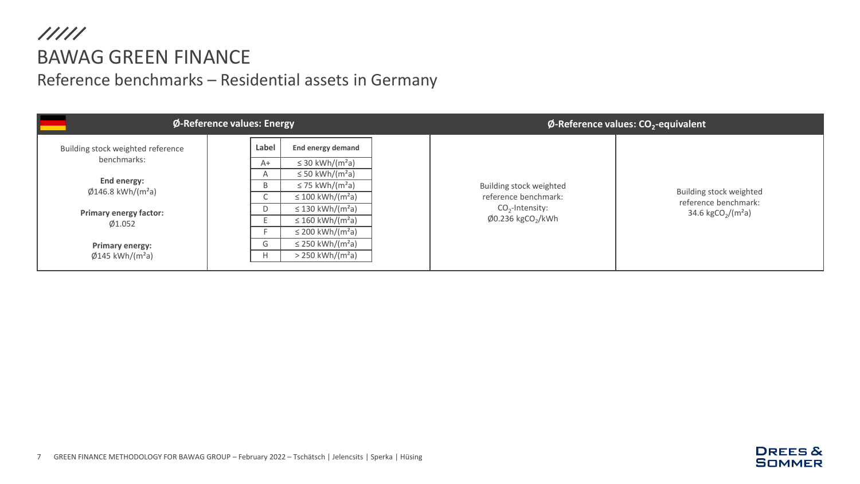## $11111$ BAWAG GREEN FINANCE Reference benchmarks – Residential assets in Germany

|                                                                  | $\phi$ -Reference values: Energy                                         |                                                                                                             | $\phi$ -Reference values: CO <sub>2</sub> -equivalent |                                                                                                                  |                                                                                      |
|------------------------------------------------------------------|--------------------------------------------------------------------------|-------------------------------------------------------------------------------------------------------------|-------------------------------------------------------|------------------------------------------------------------------------------------------------------------------|--------------------------------------------------------------------------------------|
| Building stock weighted reference<br>benchmarks:                 | Label<br>$A+$                                                            | End energy demand<br>$\leq$ 30 kWh/(m <sup>2</sup> a)                                                       |                                                       |                                                                                                                  |                                                                                      |
| End energy:<br>$\phi$ 146.8 kWh/(m <sup>2</sup> a)               | $\overline{P}$<br>B                                                      | $\leq$ 50 kWh/(m <sup>2</sup> a)<br>$\leq$ 75 kWh/(m <sup>2</sup> a)<br>$\leq$ 100 kWh/(m <sup>2</sup> a)   |                                                       | Building stock weighted<br>reference benchmark:<br>$CO2$ -Intensity:<br>$\emptyset$ 0.236 kgCO <sub>2</sub> /kWh | Building stock weighted<br>reference benchmark:<br>34.6 kgCO <sub>2</sub> /( $m2a$ ) |
| <b>Primary energy factor:</b><br>Ø1.052                          | D                                                                        | $\leq$ 130 kWh/(m <sup>2</sup> a)<br>$\leq$ 160 kWh/(m <sup>2</sup> a)<br>$\leq$ 200 kWh/(m <sup>2</sup> a) |                                                       |                                                                                                                  |                                                                                      |
| <b>Primary energy:</b><br>$\emptyset$ 145 kWh/(m <sup>2</sup> a) | $\leq$ 250 kWh/(m <sup>2</sup> a)<br>G<br>$> 250$ kWh/(m <sup>2</sup> a) |                                                                                                             |                                                       |                                                                                                                  |                                                                                      |